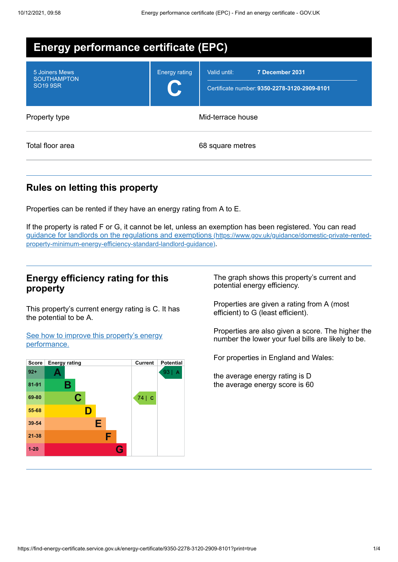| <b>Energy performance certificate (EPC)</b>             |                      |                                                                                 |  |
|---------------------------------------------------------|----------------------|---------------------------------------------------------------------------------|--|
| 5 Joiners Mews<br><b>SOUTHAMPTON</b><br><b>SO19 9SR</b> | <b>Energy rating</b> | Valid until:<br>7 December 2031<br>Certificate number: 9350-2278-3120-2909-8101 |  |
| Property type                                           | Mid-terrace house    |                                                                                 |  |
| Total floor area                                        | 68 square metres     |                                                                                 |  |

# **Rules on letting this property**

Properties can be rented if they have an energy rating from A to E.

If the property is rated F or G, it cannot be let, unless an exemption has been registered. You can read guidance for landlords on the regulations and exemptions (https://www.gov.uk/guidance/domestic-private-rented[property-minimum-energy-efficiency-standard-landlord-guidance\)](https://www.gov.uk/guidance/domestic-private-rented-property-minimum-energy-efficiency-standard-landlord-guidance).

## **Energy efficiency rating for this property**

This property's current energy rating is C. It has the potential to be A.

See how to improve this property's energy [performance.](#page-2-0)



The graph shows this property's current and potential energy efficiency.

Properties are given a rating from A (most efficient) to G (least efficient).

Properties are also given a score. The higher the number the lower your fuel bills are likely to be.

For properties in England and Wales:

the average energy rating is D the average energy score is 60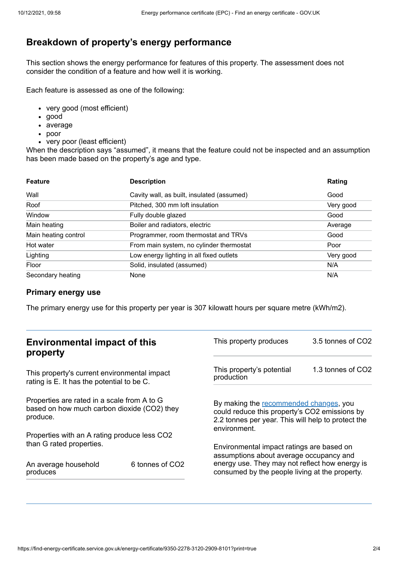# **Breakdown of property's energy performance**

This section shows the energy performance for features of this property. The assessment does not consider the condition of a feature and how well it is working.

Each feature is assessed as one of the following:

- very good (most efficient)
- good
- average
- poor
- very poor (least efficient)

When the description says "assumed", it means that the feature could not be inspected and an assumption has been made based on the property's age and type.

| <b>Feature</b>       | <b>Description</b>                         | Rating    |
|----------------------|--------------------------------------------|-----------|
| Wall                 | Cavity wall, as built, insulated (assumed) | Good      |
| Roof                 | Pitched, 300 mm loft insulation            | Very good |
| Window               | Fully double glazed                        | Good      |
| Main heating         | Boiler and radiators, electric             | Average   |
| Main heating control | Programmer, room thermostat and TRVs       | Good      |
| Hot water            | From main system, no cylinder thermostat   | Poor      |
| Lighting             | Low energy lighting in all fixed outlets   | Very good |
| Floor                | Solid, insulated (assumed)                 | N/A       |
| Secondary heating    | None                                       | N/A       |

#### **Primary energy use**

The primary energy use for this property per year is 307 kilowatt hours per square metre (kWh/m2).

| <b>Environmental impact of this</b><br>property                                                                                                                                                      |                             | This property produces                                                                                                                                        | 3.5 tonnes of CO2 |
|------------------------------------------------------------------------------------------------------------------------------------------------------------------------------------------------------|-----------------------------|---------------------------------------------------------------------------------------------------------------------------------------------------------------|-------------------|
| This property's current environmental impact<br>rating is E. It has the potential to be C.<br>Properties are rated in a scale from A to G<br>based on how much carbon dioxide (CO2) they<br>produce. |                             | This property's potential<br>production                                                                                                                       | 1.3 tonnes of CO2 |
|                                                                                                                                                                                                      |                             | By making the recommended changes, you<br>could reduce this property's CO2 emissions by<br>2.2 tonnes per year. This will help to protect the<br>environment. |                   |
| Properties with an A rating produce less CO2                                                                                                                                                         |                             |                                                                                                                                                               |                   |
| than G rated properties.                                                                                                                                                                             |                             | Environmental impact ratings are based on<br>assumptions about average occupancy and                                                                          |                   |
| An average household<br>produces                                                                                                                                                                     | 6 tonnes of CO <sub>2</sub> | energy use. They may not reflect how energy is<br>consumed by the people living at the property.                                                              |                   |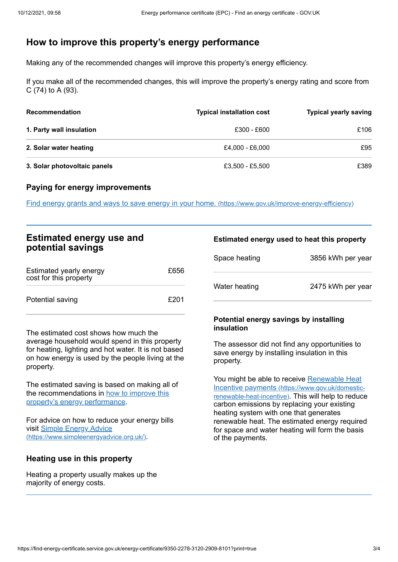# <span id="page-2-0"></span>**How to improve this property's energy performance**

Making any of the recommended changes will improve this property's energy efficiency.

If you make all of the recommended changes, this will improve the property's energy rating and score from C (74) to A (93).

| <b>Recommendation</b>        | <b>Typical installation cost</b> | <b>Typical yearly saving</b> |
|------------------------------|----------------------------------|------------------------------|
| 1. Party wall insulation     | £300 - £600                      | £106                         |
| 2. Solar water heating       | £4.000 - £6.000                  | £95                          |
| 3. Solar photovoltaic panels | £3,500 - £5,500                  | £389                         |

## **Paying for energy improvements**

Find energy grants and ways to save energy in your home. [\(https://www.gov.uk/improve-energy-efficiency\)](https://www.gov.uk/improve-energy-efficiency)

| <b>Estimated energy use and</b> |  |
|---------------------------------|--|
| potential savings               |  |

| Estimated yearly energy<br>cost for this property | £656 |
|---------------------------------------------------|------|
| Potential saving                                  | £201 |

The estimated cost shows how much the average household would spend in this property for heating, lighting and hot water. It is not based on how energy is used by the people living at the property.

The estimated saving is based on making all of the [recommendations](#page-2-0) in how to improve this property's energy performance.

For advice on how to reduce your energy bills visit Simple Energy Advice [\(https://www.simpleenergyadvice.org.uk/\)](https://www.simpleenergyadvice.org.uk/).

## **Heating use in this property**

Heating a property usually makes up the majority of energy costs.

#### **Estimated energy used to heat this property**

| Space heating | 3856 kWh per year |
|---------------|-------------------|
| Water heating | 2475 kWh per year |

#### **Potential energy savings by installing insulation**

The assessor did not find any opportunities to save energy by installing insulation in this property.

You might be able to receive Renewable Heat Incentive payments [\(https://www.gov.uk/domestic](https://www.gov.uk/domestic-renewable-heat-incentive)renewable-heat-incentive). This will help to reduce carbon emissions by replacing your existing heating system with one that generates renewable heat. The estimated energy required for space and water heating will form the basis of the payments.